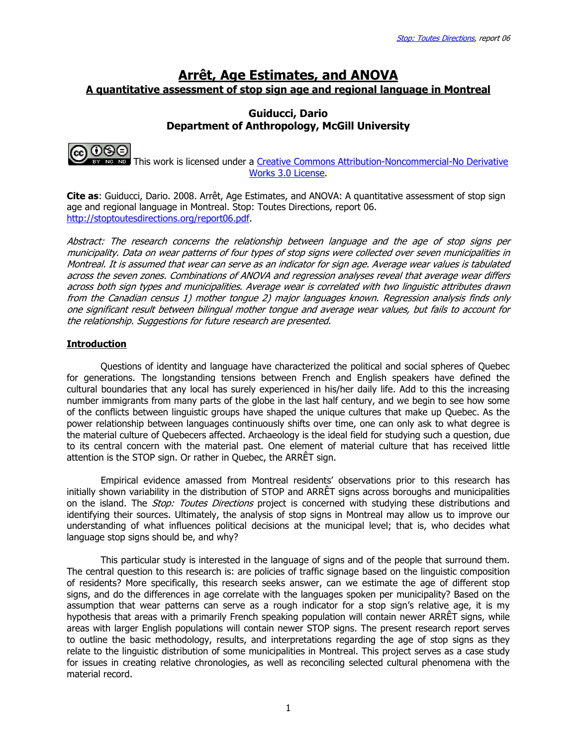# Arrêt, Age Estimates, and ANOVA A quantitative assessment of stop sign age and regional language in Montreal

# Guiducci, Dario Department of Anthropology, McGill University



 This work is licensed under a Creative Commons Attribution-Noncommercial-No Derivative Works 3.0 License.

**Cite as:** Guiducci, Dario. 2008. Arrêt, Age Estimates, and ANOVA: A quantitative assessment of stop sign age and regional language in Montreal. Stop: Toutes Directions, report 06. http://stoptoutesdirections.org/report06.pdf.

Abstract: The research concerns the relationship between language and the age of stop signs per municipality. Data on wear patterns of four types of stop signs were collected over seven municipalities in Montreal. It is assumed that wear can serve as an indicator for sign age. Average wear values is tabulated across the seven zones. Combinations of ANOVA and regression analyses reveal that average wear differs across both sign types and municipalities. Average wear is correlated with two linguistic attributes drawn from the Canadian census 1) mother tongue 2) major languages known. Regression analysis finds only one significant result between bilingual mother tongue and average wear values, but fails to account for the relationship. Suggestions for future research are presented.

## **Introduction**

Questions of identity and language have characterized the political and social spheres of Quebec for generations. The longstanding tensions between French and English speakers have defined the cultural boundaries that any local has surely experienced in his/her daily life. Add to this the increasing number immigrants from many parts of the globe in the last half century, and we begin to see how some of the conflicts between linguistic groups have shaped the unique cultures that make up Quebec. As the power relationship between languages continuously shifts over time, one can only ask to what degree is the material culture of Quebecers affected. Archaeology is the ideal field for studying such a question, due to its central concern with the material past. One element of material culture that has received little attention is the STOP sign. Or rather in Quebec, the ARRÊT sign.

Empirical evidence amassed from Montreal residents' observations prior to this research has initially shown variability in the distribution of STOP and ARRÊT signs across boroughs and municipalities on the island. The *Stop: Toutes Directions* project is concerned with studying these distributions and identifying their sources. Ultimately, the analysis of stop signs in Montreal may allow us to improve our understanding of what influences political decisions at the municipal level; that is, who decides what language stop signs should be, and why?

This particular study is interested in the language of signs and of the people that surround them. The central question to this research is: are policies of traffic signage based on the linguistic composition of residents? More specifically, this research seeks answer, can we estimate the age of different stop signs, and do the differences in age correlate with the languages spoken per municipality? Based on the assumption that wear patterns can serve as a rough indicator for a stop sign's relative age, it is my hypothesis that areas with a primarily French speaking population will contain newer ARRÊT signs, while areas with larger English populations will contain newer STOP signs. The present research report serves to outline the basic methodology, results, and interpretations regarding the age of stop signs as they relate to the linguistic distribution of some municipalities in Montreal. This project serves as a case study for issues in creating relative chronologies, as well as reconciling selected cultural phenomena with the material record.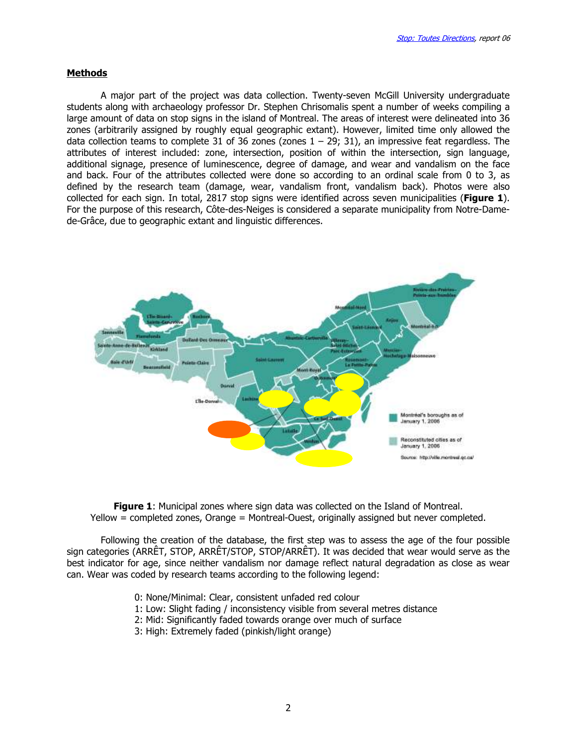### **Methods**

 A major part of the project was data collection. Twenty-seven McGill University undergraduate students along with archaeology professor Dr. Stephen Chrisomalis spent a number of weeks compiling a large amount of data on stop signs in the island of Montreal. The areas of interest were delineated into 36 zones (arbitrarily assigned by roughly equal geographic extant). However, limited time only allowed the data collection teams to complete 31 of 36 zones (zones  $1 - 29$ ; 31), an impressive feat regardless. The attributes of interest included: zone, intersection, position of within the intersection, sign language, additional signage, presence of luminescence, degree of damage, and wear and vandalism on the face and back. Four of the attributes collected were done so according to an ordinal scale from 0 to 3, as defined by the research team (damage, wear, vandalism front, vandalism back). Photos were also collected for each sign. In total, 2817 stop signs were identified across seven municipalities (Figure 1). For the purpose of this research, Côte-des-Neiges is considered a separate municipality from Notre-Damede-Grâce, due to geographic extant and linguistic differences.



**Figure 1:** Municipal zones where sign data was collected on the Island of Montreal. Yellow = completed zones, Orange = Montreal-Ouest, originally assigned but never completed.

 Following the creation of the database, the first step was to assess the age of the four possible sign categories (ARRÊT, STOP, ARRÊT/STOP, STOP/ARRÊT). It was decided that wear would serve as the best indicator for age, since neither vandalism nor damage reflect natural degradation as close as wear can. Wear was coded by research teams according to the following legend:

- 0: None/Minimal: Clear, consistent unfaded red colour
- 1: Low: Slight fading / inconsistency visible from several metres distance
- 2: Mid: Significantly faded towards orange over much of surface
- 3: High: Extremely faded (pinkish/light orange)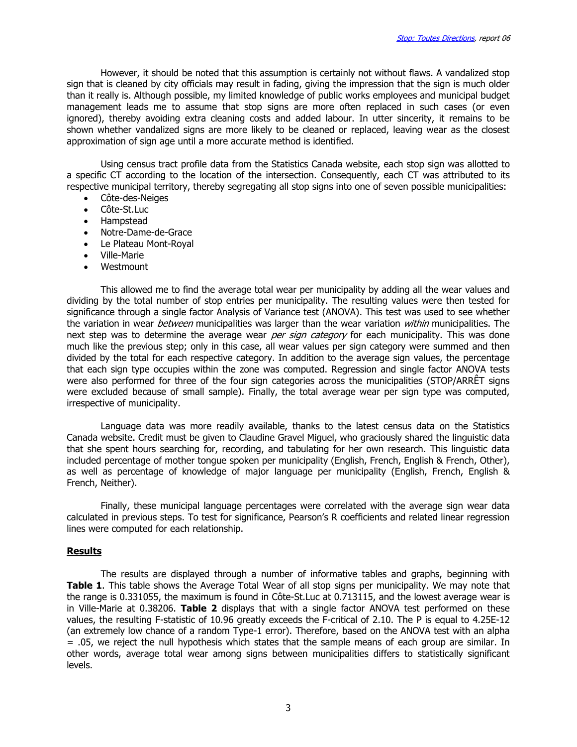However, it should be noted that this assumption is certainly not without flaws. A vandalized stop sign that is cleaned by city officials may result in fading, giving the impression that the sign is much older than it really is. Although possible, my limited knowledge of public works employees and municipal budget management leads me to assume that stop signs are more often replaced in such cases (or even ignored), thereby avoiding extra cleaning costs and added labour. In utter sincerity, it remains to be shown whether vandalized signs are more likely to be cleaned or replaced, leaving wear as the closest approximation of sign age until a more accurate method is identified.

 Using census tract profile data from the Statistics Canada website, each stop sign was allotted to a specific CT according to the location of the intersection. Consequently, each CT was attributed to its respective municipal territory, thereby segregating all stop signs into one of seven possible municipalities:

- Côte-des-Neiges
- Côte-St.Luc
- Hampstead
- Notre-Dame-de-Grace
- Le Plateau Mont-Royal
- Ville-Marie
- **Westmount**

This allowed me to find the average total wear per municipality by adding all the wear values and dividing by the total number of stop entries per municipality. The resulting values were then tested for significance through a single factor Analysis of Variance test (ANOVA). This test was used to see whether the variation in wear *between* municipalities was larger than the wear variation *within* municipalities. The next step was to determine the average wear per sign category for each municipality. This was done much like the previous step; only in this case, all wear values per sign category were summed and then divided by the total for each respective category. In addition to the average sign values, the percentage that each sign type occupies within the zone was computed. Regression and single factor ANOVA tests were also performed for three of the four sign categories across the municipalities (STOP/ARRÊT signs were excluded because of small sample). Finally, the total average wear per sign type was computed, irrespective of municipality.

 Language data was more readily available, thanks to the latest census data on the Statistics Canada website. Credit must be given to Claudine Gravel Miguel, who graciously shared the linguistic data that she spent hours searching for, recording, and tabulating for her own research. This linguistic data included percentage of mother tongue spoken per municipality (English, French, English & French, Other), as well as percentage of knowledge of major language per municipality (English, French, English & French, Neither).

 Finally, these municipal language percentages were correlated with the average sign wear data calculated in previous steps. To test for significance, Pearson's R coefficients and related linear regression lines were computed for each relationship.

#### Results

 The results are displayed through a number of informative tables and graphs, beginning with Table 1. This table shows the Average Total Wear of all stop signs per municipality. We may note that the range is 0.331055, the maximum is found in Côte-St.Luc at 0.713115, and the lowest average wear is in Ville-Marie at 0.38206. Table 2 displays that with a single factor ANOVA test performed on these values, the resulting F-statistic of 10.96 greatly exceeds the F-critical of 2.10. The P is equal to 4.25E-12 (an extremely low chance of a random Type-1 error). Therefore, based on the ANOVA test with an alpha = .05, we reject the null hypothesis which states that the sample means of each group are similar. In other words, average total wear among signs between municipalities differs to statistically significant levels.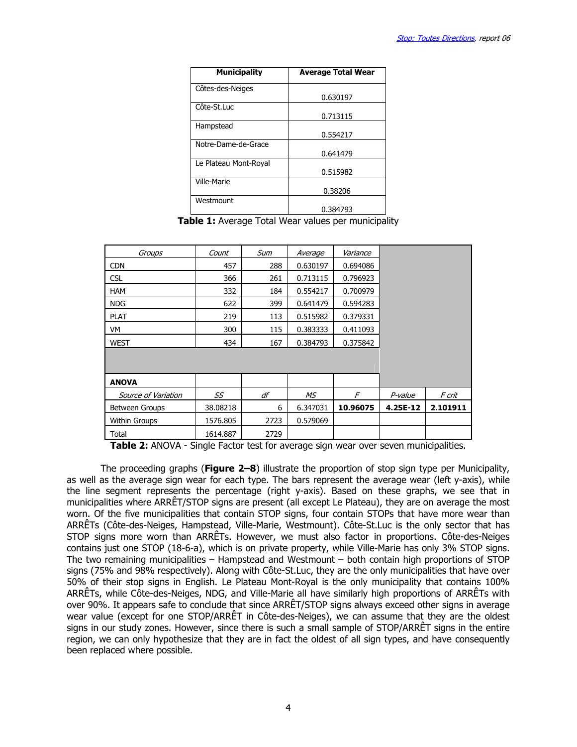| <b>Municipality</b>   | <b>Average Total Wear</b> |
|-----------------------|---------------------------|
| Côtes-des-Neiges      |                           |
|                       | 0.630197                  |
| Côte-St.Luc           |                           |
|                       | 0.713115                  |
| Hampstead             |                           |
|                       | 0.554217                  |
| Notre-Dame-de-Grace   |                           |
|                       | 0.641479                  |
| Le Plateau Mont-Royal |                           |
|                       | 0.515982                  |
| Ville-Marie           |                           |
|                       | 0.38206                   |
| Westmount             |                           |
|                       | 0.384793                  |

Table 1: Average Total Wear values per municipality

| Groups                | Count    | Sum  | Average  | Variance |          |          |
|-----------------------|----------|------|----------|----------|----------|----------|
| <b>CDN</b>            | 457      | 288  | 0.630197 | 0.694086 |          |          |
| <b>CSL</b>            | 366      | 261  | 0.713115 | 0.796923 |          |          |
| <b>HAM</b>            | 332      | 184  | 0.554217 | 0.700979 |          |          |
| <b>NDG</b>            | 622      | 399  | 0.641479 | 0.594283 |          |          |
| <b>PLAT</b>           | 219      | 113  | 0.515982 | 0.379331 |          |          |
| VM                    | 300      | 115  | 0.383333 | 0.411093 |          |          |
| <b>WEST</b>           | 434      | 167  | 0.384793 | 0.375842 |          |          |
|                       |          |      |          |          |          |          |
|                       |          |      |          |          |          |          |
| <b>ANOVA</b>          |          |      |          |          |          |          |
| Source of Variation   | SS       | df   | МS       | F        | P-value  | F crit   |
| <b>Between Groups</b> | 38.08218 | 6    | 6.347031 | 10.96075 | 4.25E-12 | 2.101911 |
| <b>Within Groups</b>  | 1576.805 | 2723 | 0.579069 |          |          |          |
| Total                 | 1614.887 | 2729 |          |          |          |          |

Table 2: ANOVA - Single Factor test for average sign wear over seven municipalities.

The proceeding graphs (**Figure 2–8**) illustrate the proportion of stop sign type per Municipality, as well as the average sign wear for each type. The bars represent the average wear (left y-axis), while the line segment represents the percentage (right y-axis). Based on these graphs, we see that in municipalities where ARRÊT/STOP signs are present (all except Le Plateau), they are on average the most worn. Of the five municipalities that contain STOP signs, four contain STOPs that have more wear than ARRÊTs (Côte-des-Neiges, Hampstead, Ville-Marie, Westmount). Côte-St.Luc is the only sector that has STOP signs more worn than ARRÊTs. However, we must also factor in proportions. Côte-des-Neiges contains just one STOP (18-6-a), which is on private property, while Ville-Marie has only 3% STOP signs. The two remaining municipalities – Hampstead and Westmount – both contain high proportions of STOP signs (75% and 98% respectively). Along with Côte-St.Luc, they are the only municipalities that have over 50% of their stop signs in English. Le Plateau Mont-Royal is the only municipality that contains 100% ARRÊTs, while Côte-des-Neiges, NDG, and Ville-Marie all have similarly high proportions of ARRÊTs with over 90%. It appears safe to conclude that since ARRÊT/STOP signs always exceed other signs in average wear value (except for one STOP/ARRÊT in Côte-des-Neiges), we can assume that they are the oldest signs in our study zones. However, since there is such a small sample of STOP/ARRÊT signs in the entire region, we can only hypothesize that they are in fact the oldest of all sign types, and have consequently been replaced where possible.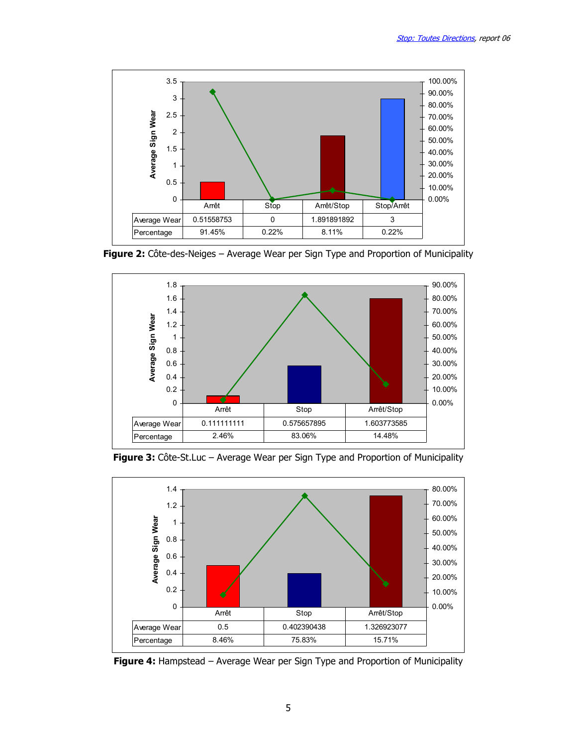

Figure 2: Côte-des-Neiges - Average Wear per Sign Type and Proportion of Municipality



Figure 3: Côte-St.Luc - Average Wear per Sign Type and Proportion of Municipality



Figure 4: Hampstead – Average Wear per Sign Type and Proportion of Municipality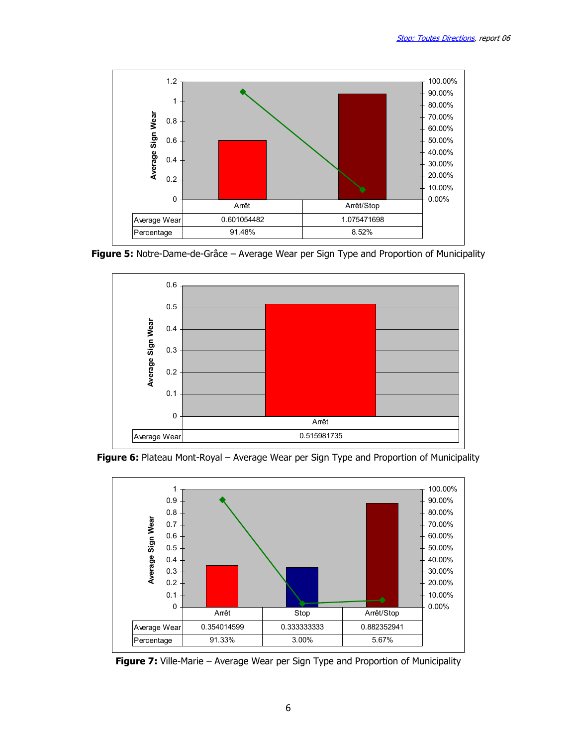

Figure 5: Notre-Dame-de-Grâce – Average Wear per Sign Type and Proportion of Municipality



Figure 6: Plateau Mont-Royal – Average Wear per Sign Type and Proportion of Municipality



Figure 7: Ville-Marie – Average Wear per Sign Type and Proportion of Municipality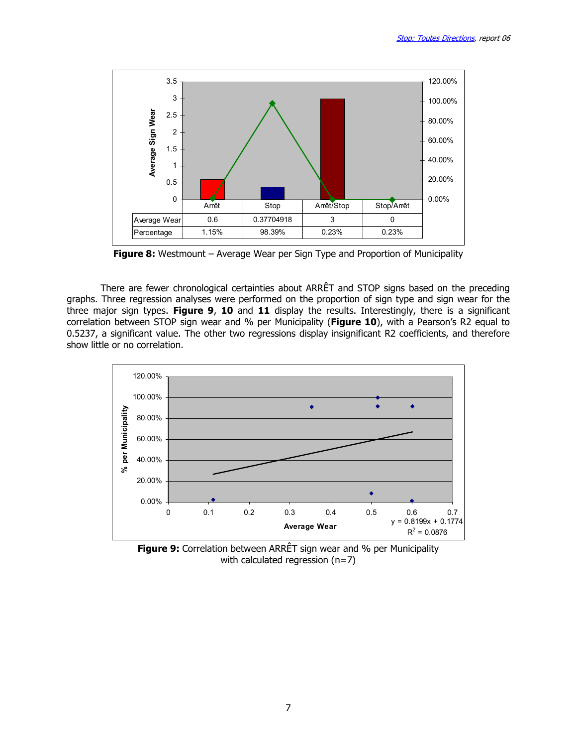

Figure 8: Westmount - Average Wear per Sign Type and Proportion of Municipality

There are fewer chronological certainties about ARRÊT and STOP signs based on the preceding graphs. Three regression analyses were performed on the proportion of sign type and sign wear for the three major sign types. Figure 9, 10 and 11 display the results. Interestingly, there is a significant correlation between STOP sign wear and % per Municipality (Figure 10), with a Pearson's R2 equal to 0.5237, a significant value. The other two regressions display insignificant R2 coefficients, and therefore show little or no correlation.



**Figure 9:** Correlation between ARRÊT sign wear and % per Municipality with calculated regression (n=7)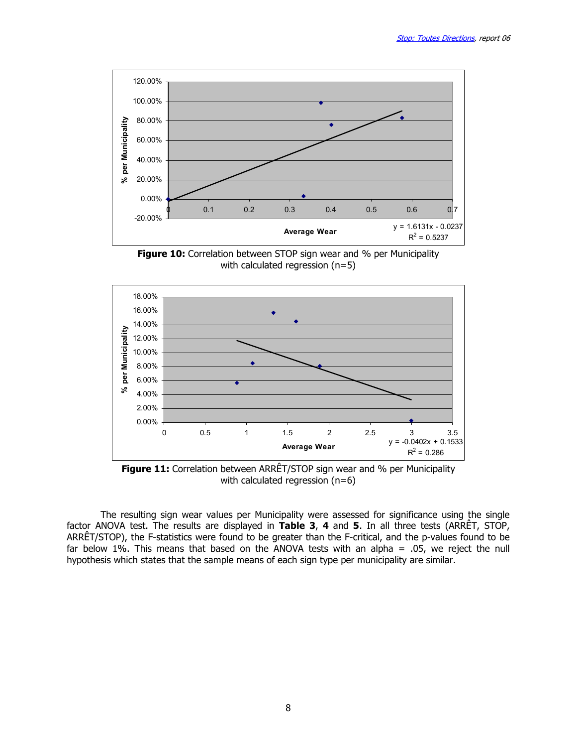





**Figure 11:** Correlation between ARRÊT/STOP sign wear and % per Municipality with calculated regression (n=6)

The resulting sign wear values per Municipality were assessed for significance using the single factor ANOVA test. The results are displayed in Table 3, 4 and 5. In all three tests (ARRÊT, STOP, ARRÊT/STOP), the F-statistics were found to be greater than the F-critical, and the p-values found to be far below 1%. This means that based on the ANOVA tests with an alpha =  $.05$ , we reject the null hypothesis which states that the sample means of each sign type per municipality are similar.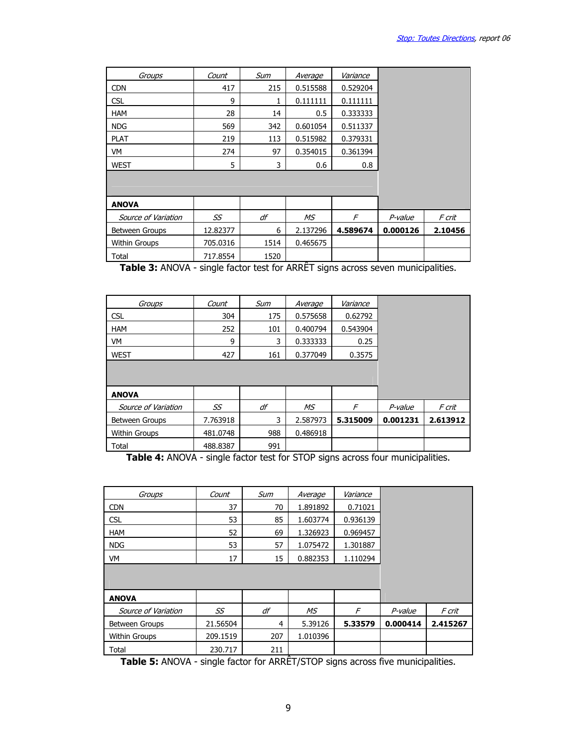| Groups              | Count    | Sum  | Average  | Variance |          |         |
|---------------------|----------|------|----------|----------|----------|---------|
| <b>CDN</b>          | 417      | 215  | 0.515588 | 0.529204 |          |         |
| <b>CSL</b>          | 9        |      | 0.111111 | 0.111111 |          |         |
| <b>HAM</b>          | 28       | 14   | 0.5      | 0.333333 |          |         |
| <b>NDG</b>          | 569      | 342  | 0.601054 | 0.511337 |          |         |
| <b>PLAT</b>         | 219      | 113  | 0.515982 | 0.379331 |          |         |
| VM                  | 274      | 97   | 0.354015 | 0.361394 |          |         |
| <b>WEST</b>         | 5        | 3    | 0.6      | 0.8      |          |         |
|                     |          |      |          |          |          |         |
|                     |          |      |          |          |          |         |
| <b>ANOVA</b>        |          |      |          |          |          |         |
| Source of Variation | SS       | df   | МS       | F        | P-value  | F crit  |
| Between Groups      | 12.82377 | 6    | 2.137296 | 4.589674 | 0.000126 | 2.10456 |
| Within Groups       | 705.0316 | 1514 | 0.465675 |          |          |         |
| Total               | 717.8554 | 1520 |          |          |          |         |

Table 3: ANOVA - single factor test for ARRÊT signs across seven municipalities.

| Groups               | Count    | Sum | Average  | Variance |          |          |
|----------------------|----------|-----|----------|----------|----------|----------|
| <b>CSL</b>           | 304      | 175 | 0.575658 | 0.62792  |          |          |
| <b>HAM</b>           | 252      | 101 | 0.400794 | 0.543904 |          |          |
| VM                   | 9        | 3   | 0.333333 | 0.25     |          |          |
| <b>WEST</b>          | 427      | 161 | 0.377049 | 0.3575   |          |          |
|                      |          |     |          |          |          |          |
|                      |          |     |          |          |          |          |
| <b>ANOVA</b>         |          |     |          |          |          |          |
| Source of Variation  | SS       | df  | MS       | F        | P-value  | F crit   |
| Between Groups       | 7.763918 | 3   | 2.587973 | 5.315009 | 0.001231 | 2.613912 |
| <b>Within Groups</b> | 481.0748 | 988 | 0.486918 |          |          |          |
| Total                | 488.8387 | 991 |          |          |          |          |

Table 4: ANOVA - single factor test for STOP signs across four municipalities.

| Groups               | Count    | Sum | Average  | Variance |          |          |
|----------------------|----------|-----|----------|----------|----------|----------|
| <b>CDN</b>           | 37       | 70  | 1.891892 | 0.71021  |          |          |
| <b>CSL</b>           | 53       | 85  | 1.603774 | 0.936139 |          |          |
| <b>HAM</b>           | 52       | 69  | 1.326923 | 0.969457 |          |          |
| <b>NDG</b>           | 53       | 57  | 1.075472 | 1.301887 |          |          |
| VM                   | 17       | 15  | 0.882353 | 1.110294 |          |          |
|                      |          |     |          |          |          |          |
|                      |          |     |          |          |          |          |
| <b>ANOVA</b>         |          |     |          |          |          |          |
| Source of Variation  | SS       | df  | MS       | F        | P-value  | F crit   |
| Between Groups       | 21.56504 | 4   | 5.39126  | 5.33579  | 0.000414 | 2.415267 |
| <b>Within Groups</b> | 209.1519 | 207 | 1.010396 |          |          |          |
| Total                | 230.717  | 211 |          |          |          |          |

**Table 5:** ANOVA - single factor for ARRET/STOP signs across five municipalities.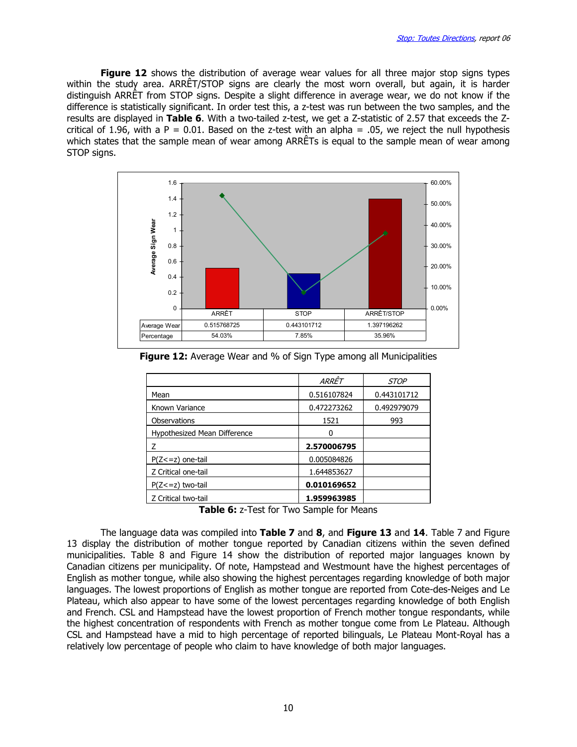Figure 12 shows the distribution of average wear values for all three major stop signs types within the study area. ARRÊT/STOP signs are clearly the most worn overall, but again, it is harder distinguish ARRÊT from STOP signs. Despite a slight difference in average wear, we do not know if the difference is statistically significant. In order test this, a z-test was run between the two samples, and the results are displayed in Table 6. With a two-tailed z-test, we get a Z-statistic of 2.57 that exceeds the Zcritical of 1.96, with a P = 0.01. Based on the z-test with an alpha = .05, we reject the null hypothesis which states that the sample mean of wear among ARRÊTs is equal to the sample mean of wear among STOP signs.



**Figure 12:** Average Wear and % of Sign Type among all Municipalities

|                              | ARRÊT       | <i>STOP</i> |
|------------------------------|-------------|-------------|
| Mean                         | 0.516107824 | 0.443101712 |
| Known Variance               | 0.472273262 | 0.492979079 |
| <b>Observations</b>          | 1521        | 993         |
| Hypothesized Mean Difference | O           |             |
|                              | 2.570006795 |             |
| $P(Z \le z)$ one-tail        | 0.005084826 |             |
| Z Critical one-tail          | 1.644853627 |             |
| $P(Z \leq z)$ two-tail       | 0.010169652 |             |
| Z Critical two-tail          | 1.959963985 |             |

Table 6: z-Test for Two Sample for Means

The language data was compiled into Table 7 and 8, and Figure 13 and 14. Table 7 and Figure 13 display the distribution of mother tongue reported by Canadian citizens within the seven defined municipalities. Table 8 and Figure 14 show the distribution of reported major languages known by Canadian citizens per municipality. Of note, Hampstead and Westmount have the highest percentages of English as mother tongue, while also showing the highest percentages regarding knowledge of both major languages. The lowest proportions of English as mother tongue are reported from Cote-des-Neiges and Le Plateau, which also appear to have some of the lowest percentages regarding knowledge of both English and French. CSL and Hampstead have the lowest proportion of French mother tongue respondants, while the highest concentration of respondents with French as mother tongue come from Le Plateau. Although CSL and Hampstead have a mid to high percentage of reported bilinguals, Le Plateau Mont-Royal has a relatively low percentage of people who claim to have knowledge of both major languages.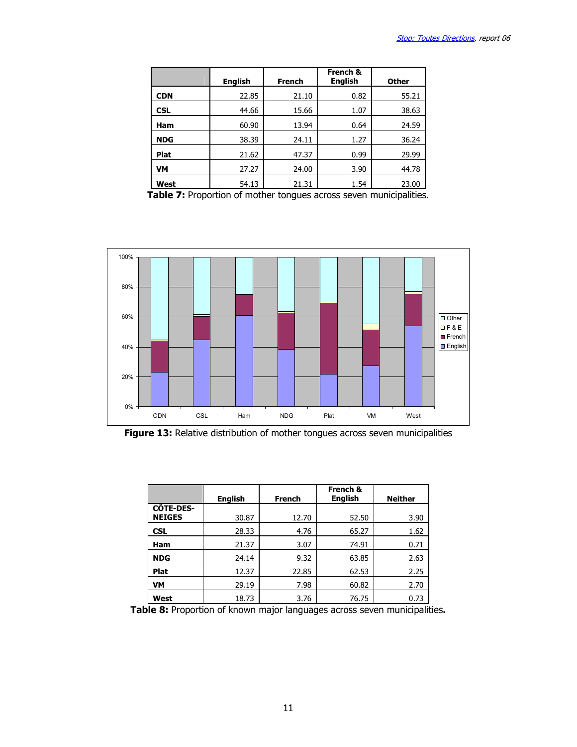|            | <b>English</b> | <b>French</b> | French &<br><b>English</b> | <b>Other</b> |
|------------|----------------|---------------|----------------------------|--------------|
| <b>CDN</b> | 22.85          | 21.10         | 0.82                       | 55.21        |
| <b>CSL</b> | 44.66          | 15.66         | 1.07                       | 38.63        |
| <b>Ham</b> | 60.90          | 13.94         | 0.64                       | 24.59        |
| <b>NDG</b> | 38.39          | 24.11         | 1.27                       | 36.24        |
| Plat       | 21.62          | 47.37         | 0.99                       | 29.99        |
| VM         | 27.27          | 24.00         | 3.90                       | 44.78        |
| West       | 54.13          | 21.31         | 1.54                       | 23.00        |

Table 7: Proportion of mother tongues across seven municipalities.



Figure 13: Relative distribution of mother tongues across seven municipalities

|                                   | <b>English</b> | <b>French</b> | French &<br><b>English</b> | <b>Neither</b> |
|-----------------------------------|----------------|---------------|----------------------------|----------------|
| <b>CÔTE-DES-</b><br><b>NEIGES</b> | 30.87          | 12.70         | 52.50                      | 3.90           |
| <b>CSL</b>                        | 28.33          | 4.76          | 65.27                      | 1.62           |
| Ham                               | 21.37          | 3.07          | 74.91                      | 0.71           |
| <b>NDG</b>                        | 24.14          | 9.32          | 63.85                      | 2.63           |
| <b>Plat</b>                       | 12.37          | 22.85         | 62.53                      | 2.25           |
| <b>VM</b>                         | 29.19          | 7.98          | 60.82                      | 2.70           |
| West                              | 18.73          | 3.76          | 76.75                      | 0.73           |

Table 8: Proportion of known major languages across seven municipalities.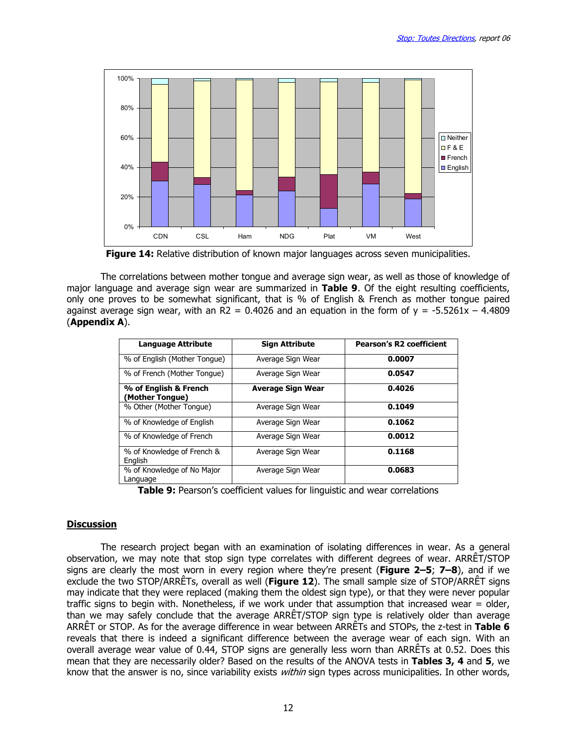

Figure 14: Relative distribution of known major languages across seven municipalities.

 The correlations between mother tongue and average sign wear, as well as those of knowledge of major language and average sign wear are summarized in Table 9. Of the eight resulting coefficients, only one proves to be somewhat significant, that is % of English & French as mother tongue paired against average sign wear, with an R2 = 0.4026 and an equation in the form of  $y = -5.5261x - 4.4809$ (Appendix A).

| <b>Language Attribute</b>                | <b>Sign Attribute</b>    | <b>Pearson's R2 coefficient</b> |
|------------------------------------------|--------------------------|---------------------------------|
| % of English (Mother Tongue)             | Average Sign Wear        | 0.0007                          |
| % of French (Mother Tonque)              | Average Sign Wear        | 0.0547                          |
| % of English & French<br>(Mother Tongue) | <b>Average Sign Wear</b> | 0.4026                          |
| % Other (Mother Tongue)                  | Average Sign Wear        | 0.1049                          |
| % of Knowledge of English                | Average Sign Wear        | 0.1062                          |
| % of Knowledge of French                 | Average Sign Wear        | 0.0012                          |
| % of Knowledge of French &<br>English    | Average Sign Wear        | 0.1168                          |
| % of Knowledge of No Major<br>Language   | Average Sign Wear        | 0.0683                          |

Table 9: Pearson's coefficient values for linguistic and wear correlations

#### **Discussion**

 The research project began with an examination of isolating differences in wear. As a general observation, we may note that stop sign type correlates with different degrees of wear. ARRÊT/STOP signs are clearly the most worn in every region where they're present (Figure  $2-5$ ;  $7-8$ ), and if we exclude the two STOP/ARRÊTs, overall as well (Figure 12). The small sample size of STOP/ARRÊT signs may indicate that they were replaced (making them the oldest sign type), or that they were never popular traffic signs to begin with. Nonetheless, if we work under that assumption that increased wear = older, than we may safely conclude that the average ARRÊT/STOP sign type is relatively older than average ARRÊT or STOP. As for the average difference in wear between ARRÊTs and STOPs, the z-test in Table 6 reveals that there is indeed a significant difference between the average wear of each sign. With an overall average wear value of 0.44, STOP signs are generally less worn than ARRÊTs at 0.52. Does this mean that they are necessarily older? Based on the results of the ANOVA tests in Tables 3, 4 and 5, we know that the answer is no, since variability exists *within* sign types across municipalities. In other words,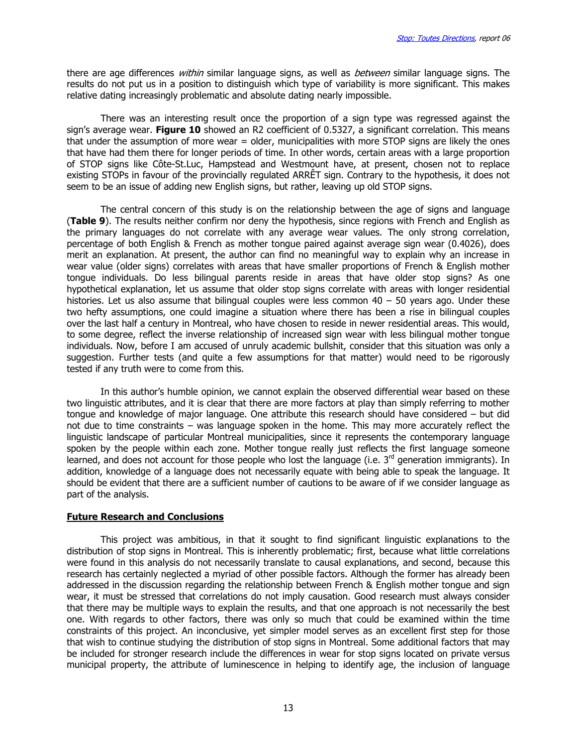there are age differences within similar language signs, as well as between similar language signs. The results do not put us in a position to distinguish which type of variability is more significant. This makes relative dating increasingly problematic and absolute dating nearly impossible.

 There was an interesting result once the proportion of a sign type was regressed against the sign's average wear. Figure 10 showed an R2 coefficient of 0.5327, a significant correlation. This means that under the assumption of more wear = older, municipalities with more STOP signs are likely the ones that have had them there for longer periods of time. In other words, certain areas with a large proportion of STOP signs like Côte-St.Luc, Hampstead and Westmount have, at present, chosen not to replace existing STOPs in favour of the provincially regulated ARRÊT sign. Contrary to the hypothesis, it does not seem to be an issue of adding new English signs, but rather, leaving up old STOP signs.

 The central concern of this study is on the relationship between the age of signs and language (Table 9). The results neither confirm nor deny the hypothesis, since regions with French and English as the primary languages do not correlate with any average wear values. The only strong correlation, percentage of both English & French as mother tongue paired against average sign wear (0.4026), does merit an explanation. At present, the author can find no meaningful way to explain why an increase in wear value (older signs) correlates with areas that have smaller proportions of French & English mother tongue individuals. Do less bilingual parents reside in areas that have older stop signs? As one hypothetical explanation, let us assume that older stop signs correlate with areas with longer residential histories. Let us also assume that bilingual couples were less common  $40 - 50$  years ago. Under these two hefty assumptions, one could imagine a situation where there has been a rise in bilingual couples over the last half a century in Montreal, who have chosen to reside in newer residential areas. This would, to some degree, reflect the inverse relationship of increased sign wear with less bilingual mother tongue individuals. Now, before I am accused of unruly academic bullshit, consider that this situation was only a suggestion. Further tests (and quite a few assumptions for that matter) would need to be rigorously tested if any truth were to come from this.

In this author's humble opinion, we cannot explain the observed differential wear based on these two linguistic attributes, and it is clear that there are more factors at play than simply referring to mother tongue and knowledge of major language. One attribute this research should have considered – but did not due to time constraints – was language spoken in the home. This may more accurately reflect the linguistic landscape of particular Montreal municipalities, since it represents the contemporary language spoken by the people within each zone. Mother tongue really just reflects the first language someone learned, and does not account for those people who lost the language (i.e. 3<sup>rd</sup> generation immigrants). In addition, knowledge of a language does not necessarily equate with being able to speak the language. It should be evident that there are a sufficient number of cautions to be aware of if we consider language as part of the analysis.

#### Future Research and Conclusions

This project was ambitious, in that it sought to find significant linguistic explanations to the distribution of stop signs in Montreal. This is inherently problematic; first, because what little correlations were found in this analysis do not necessarily translate to causal explanations, and second, because this research has certainly neglected a myriad of other possible factors. Although the former has already been addressed in the discussion regarding the relationship between French & English mother tongue and sign wear, it must be stressed that correlations do not imply causation. Good research must always consider that there may be multiple ways to explain the results, and that one approach is not necessarily the best one. With regards to other factors, there was only so much that could be examined within the time constraints of this project. An inconclusive, yet simpler model serves as an excellent first step for those that wish to continue studying the distribution of stop signs in Montreal. Some additional factors that may be included for stronger research include the differences in wear for stop signs located on private versus municipal property, the attribute of luminescence in helping to identify age, the inclusion of language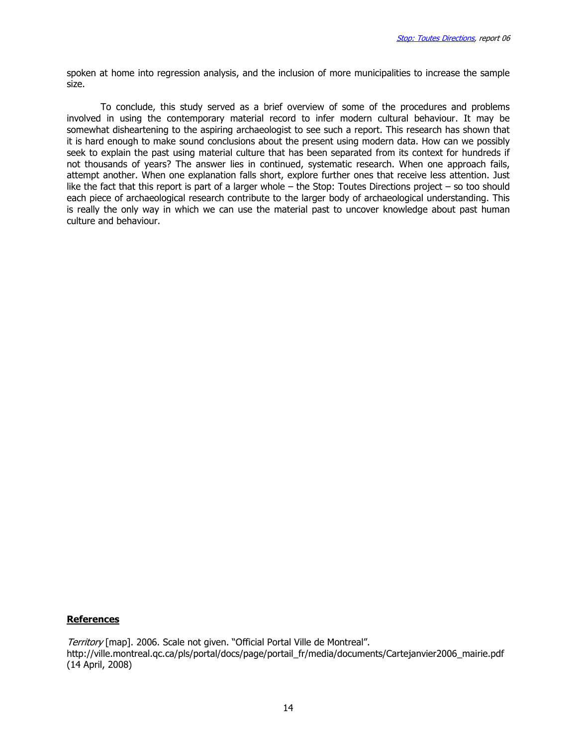spoken at home into regression analysis, and the inclusion of more municipalities to increase the sample size.

To conclude, this study served as a brief overview of some of the procedures and problems involved in using the contemporary material record to infer modern cultural behaviour. It may be somewhat disheartening to the aspiring archaeologist to see such a report. This research has shown that it is hard enough to make sound conclusions about the present using modern data. How can we possibly seek to explain the past using material culture that has been separated from its context for hundreds if not thousands of years? The answer lies in continued, systematic research. When one approach fails, attempt another. When one explanation falls short, explore further ones that receive less attention. Just like the fact that this report is part of a larger whole – the Stop: Toutes Directions project – so too should each piece of archaeological research contribute to the larger body of archaeological understanding. This is really the only way in which we can use the material past to uncover knowledge about past human culture and behaviour.

### References

Territory [map]. 2006. Scale not given. "Official Portal Ville de Montreal". http://ville.montreal.qc.ca/pls/portal/docs/page/portail\_fr/media/documents/Cartejanvier2006\_mairie.pdf (14 April, 2008)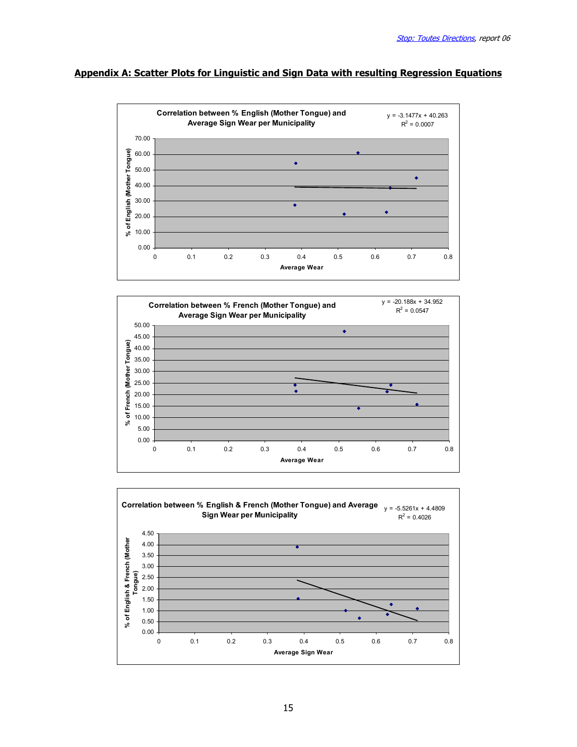# Appendix A: Scatter Plots for Linguistic and Sign Data with resulting Regression Equations





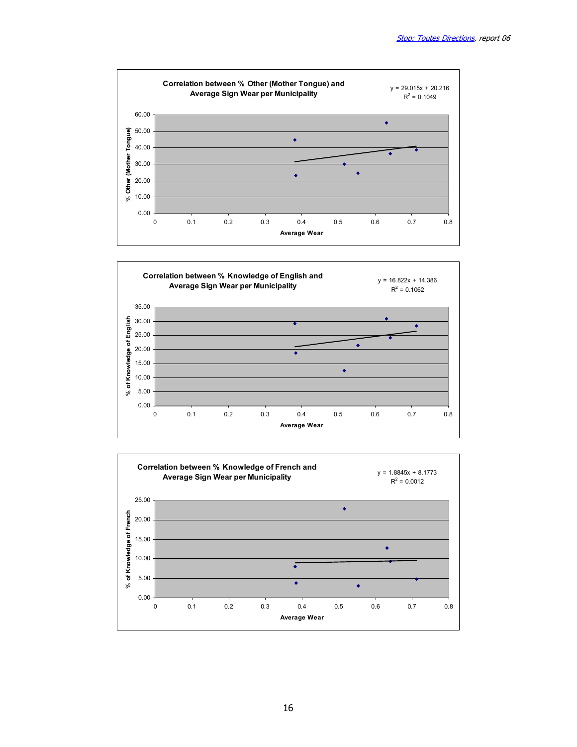